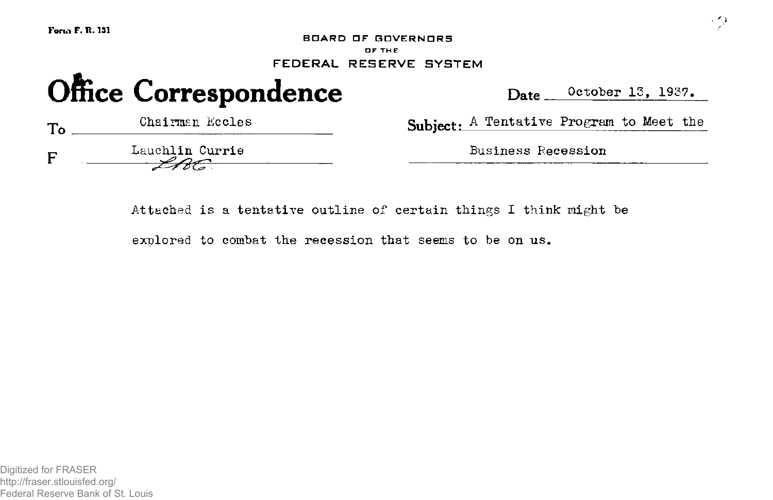**Fori,» F. R. 131** 

**BOARD OF GOVERNORS** OF THE **FEDERAL RESERVE SYSTEM** 

# Office Correspondence Date October 13, 1937.

**Chairman Eccles**  $T_{\alpha}$ F **Lauchlin Currie Business Recession** 

Subject: A Tentative Program to Meet the

**Attached is a tentative outline of certain things I think might be** 

**explored to combat the recession that seems to be on us.** 

Digitized for FRASER http://fraser.stlouisfed.org/ Federal Reserve Bank of St. Louis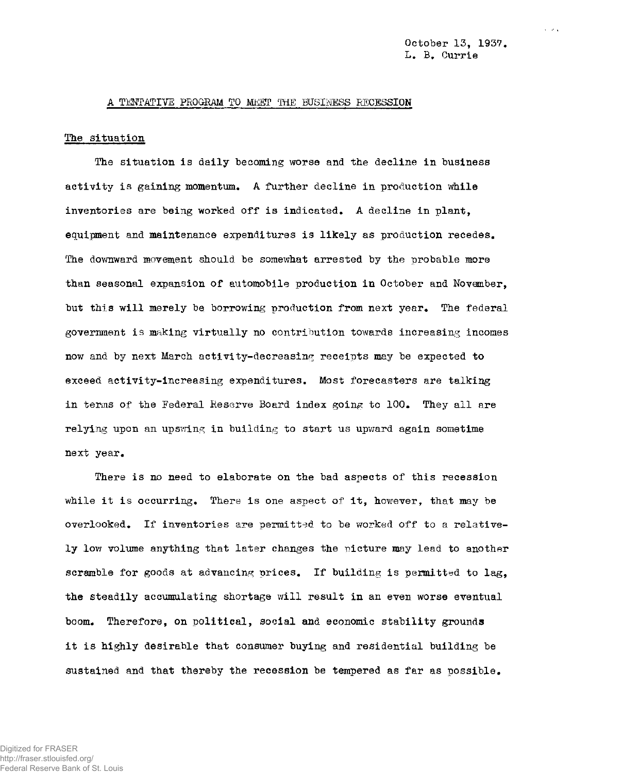$\sim$   $\sim$   $\sim$ 

#### **A TENTATIVE PROGRAM TO MEET** THE **EUSIHESS RECESSION**

#### **The situation**

**The situation is daily becoming worse and the decline in business activity is gaining momentum. A further decline in production while inventories are being worked off is indicated. A decline in plant, equipment and maintenance expenditures is likely as production recedes. The downward movement should be somewhat arrested by the probable more than seasonal expansion of automobile production in October and November, but this will merely be borrowing production from next year. The federal government is making virtually no contribution towards increasing incomes now and by next March activity-decreasing receipts may be expected to exceed activity-increasing expenditures. Most forecasters are talking in terms of the Federal Reserve Board index going to 100. They all are relying upon an upswing in building to start us upward again sometime next year.** 

**There is no need to elaborate on the bad aspects of this recession while it is occurring. There is one aspect of it, however, that may be overlooked. If inventories are permitted to be worked off to a relatively low volume anything that later changes the picture may lead to another scramble for goods at advancing prices. If building is permitted to lag, the steadily accumulating shortage will result in an even worse eventual boom. Therefore, on political, social and economic stability grounds it is highly desirable that consumer buying and residential building be sustained and that thereby the recession be tempered as far as possible.**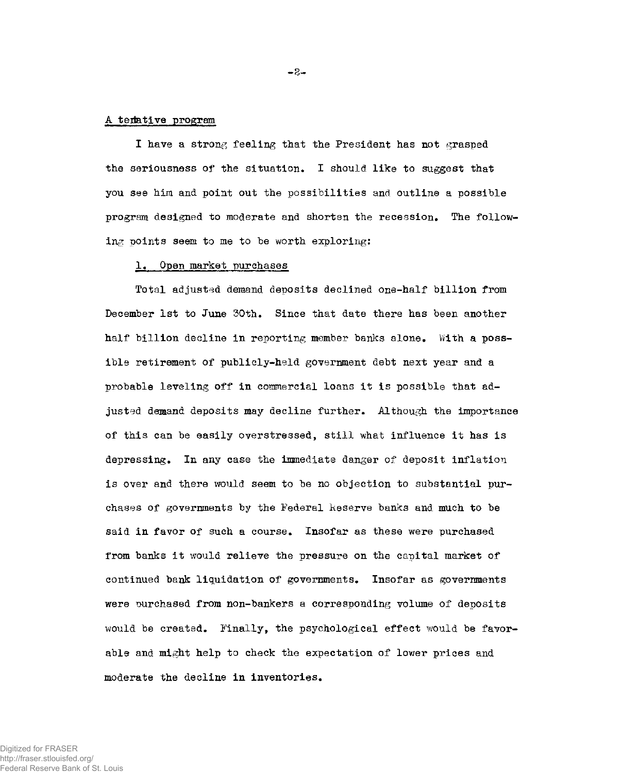#### **A tertative program**

**I have a strong feeling that the President has not grasped the seriousness of the situation. I should like to suggest that you see him and point out the possibilities and outline a possible program designed to moderate and shorten the recession. The following points seem to me to be worth exploring:** 

#### **1. Open market purchases**

**Total adjusted demand deposits declined one-half billion from December 1st to June 30th. Since that date there has been another half billion decline in reporting member banks alone. With a possible retirement of publicly-held government debt next year and a probable leveling off in commercial loans it is possible that adjusted demand deposits may decline further. Although the importance of this can be easily overstressed, still what influence it has is depressing. In any case the immediate danger of deposit inflation is over and there would seem to be no objection to substantial purchases of governments by the Federal Keserve banks and much to be said in favor of such a course. Insofar as these were purchased from banks it would relieve the pressure on the capital market of continued bank liquidation of governments. Insofar as governments were purchased from non-bankers a corresponding volume of deposits would be created. Finally, the psychological effect would be favorable and might help to check the expectation of lower prices and moderate the decline in inventories.**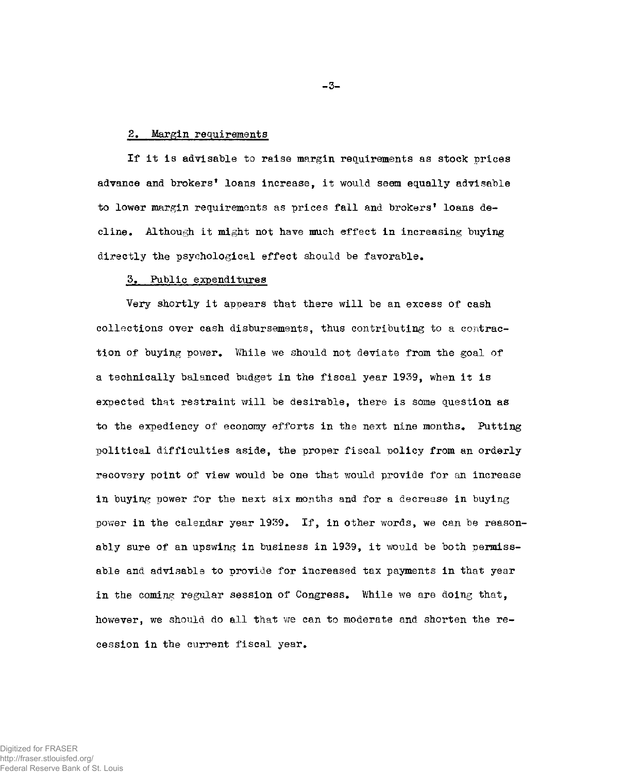## **2. Margin requirements**

**If it is advisable to raise margin requirements as stock prices advance and brokers\* loans increase, it would seem equally advisable to lower margin requirements as prices fall and brokers' loans decline\* Although it might not have much effect in increasing buying directly the psychological effect should be favorable.** 

## **5. Public expenditures**

**Very shortly it appears that there will be an excess of cash collections over cash disbursements, thus contributing to a contraction of buying power. While we should not deviate from the goal of a technically balanced budget in the fiscal year 1939, when it is expected that restraint will be desirable, there is some question as to the expediency of economy efforts in the next nine months. Putting political difficulties aside, the proper fiscal policy from an orderly recovery point of view would be one that would provide for an increase in buying power for the next six months and for a decrease in buying power in the calendar year 1939. If, in other words, we can be reasonably sure of an upswing in business in 1939, it would be both permissable and advisable to provide for increased tax payments in that year in the coming regular session of Congress. Ihile we are doing that, however, we should do all that we can to moderate and shorten the recession in the current fiscal year.** 

**-3-**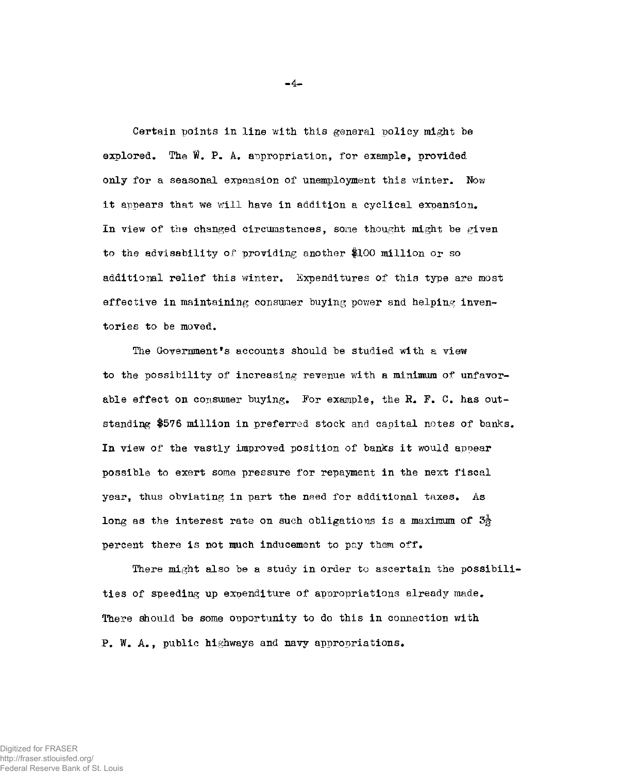**Certain points in line with this general policy might be**  explored. The  $\hat{W}$ . P. A. appropriation, for example, provided **only for a seasonal expansion of unemployment this winter. Now it appears that we will have in addition a cyclical expansion. In view of the changed circumstances, some thought might be given to the advisability of providing another \$100 million or so additional relief this winter. Expenditures of this type are most effective in maintaining consumer buying power and helping inventories to be moved.** 

**The Government<sup>f</sup>s accounts should be studied with a view to the possibility of increasing revenue with a minimum of unfavor**able effect on consumer buying. For example, the R. F. C. has out**standing #576 million in preferred stock and capital notes of banks. In view of the vastly improved position of banks it would appear possible to exert some pressure for repayment in the next fiscal year, thus obviating in part the need for additional taxes. As long as the interest rate on such obligations is a maximum of 31 percent there is not much inducement to pay them off.** 

**There might also be a study in order to ascertain the possibilities of speeding up expenditure of appropriations already made. There should be some opportunity to do this in connection with P. W. A., public highways and navy appropriations.** 

**-4-**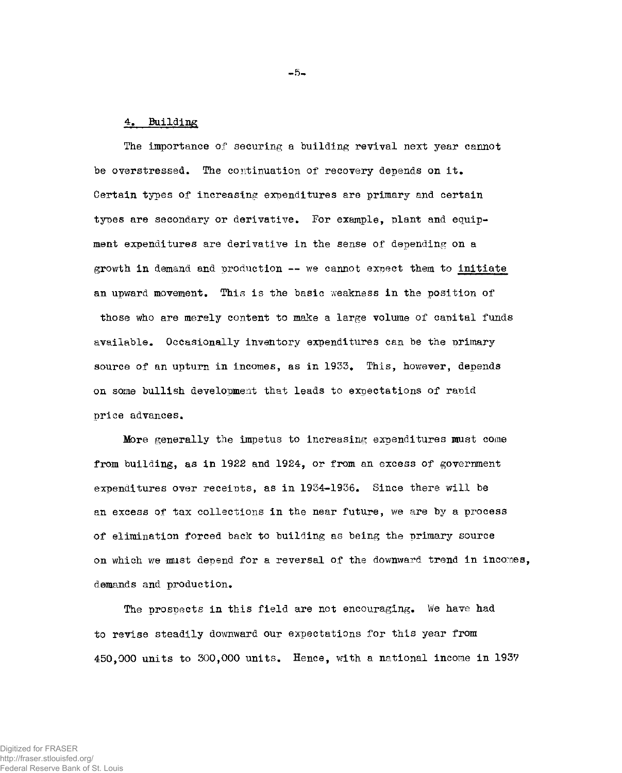# **4. Building**

**The importance of securing a building revival next year cannot be overstressed. The continuation of recovery depends on it. Certain types of increasing expenditures are primary and certain types are secondary or derivative. For example, plant and equipment expenditures are derivative in the sense of depending on a**  growth in demand and production -- we cannot expect them to initiate **an upward movement. This is the basic weakness in the position of those who are merely content to make a large volume of capital funds available. Occasionally inventory expenditures can be the primary source of an upturn in incomes, as in 1933. This, however, depends on some bullish development that leads to expectations of rapid price advances.** 

**Mare generally the impetus to increasing expenditures must come from building, as in 1922 and 1924, or from an excess of government expenditures over receipts, as in 1934-1936. Since there will be an excess of tax collections in the near future, we are by a process of elimination forced back to building as being the primary source on which we must depend for a reversal of the downward trend in incomes, demands and production.** 

**The prospects in this field are not encouraging. We have had to revise steadily downward our expectations for this year from 450,000 units to 300,000 units. Hence, with a national income in 1937** 

**- 5-**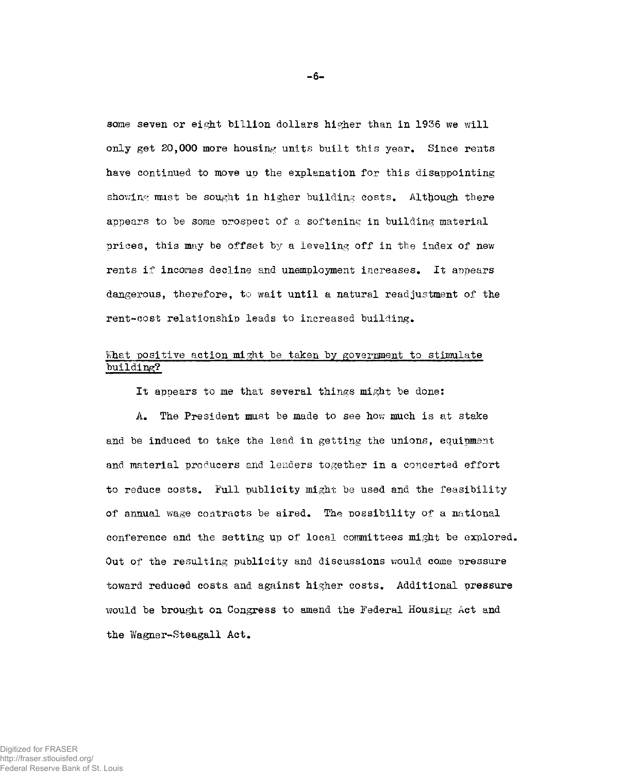**some seven or eight billion dollars higher than in 1936 we will only get 20,000 more housing units built this year. Since rents have continued to move up the explanation for this disappointing showing must be sought in higher building costs. Although there appears to be some prospect of a softening in building material prices, this may be offset by a leveling off in the index of new rents if incomes decline and unemployment increases. It appears dangerous, therefore, to wait until a natural readjustment of the rent-cost relationship leads to increased building.** 

# **What positive action might be taken by government to stimulate building?**

**It appears to me that several things might be done:** 

**A. The President must be made to see how much is at stake and be induced to take the lead in getting the unions, equipment**  and material producers and lenders together in a concerted effort **to reduce costs. Full publicity might be used and the feasibility of annual wage contracts be aired. The possibility of a national conference and the setting up of local committees might be explored. Out of the resulting publicity and discussions would come pressure toward reduced costs, and against higher costs. Additional pressure would be brought on Congress to amend the Federal Housing Act and the Wagner-Steagall Act.**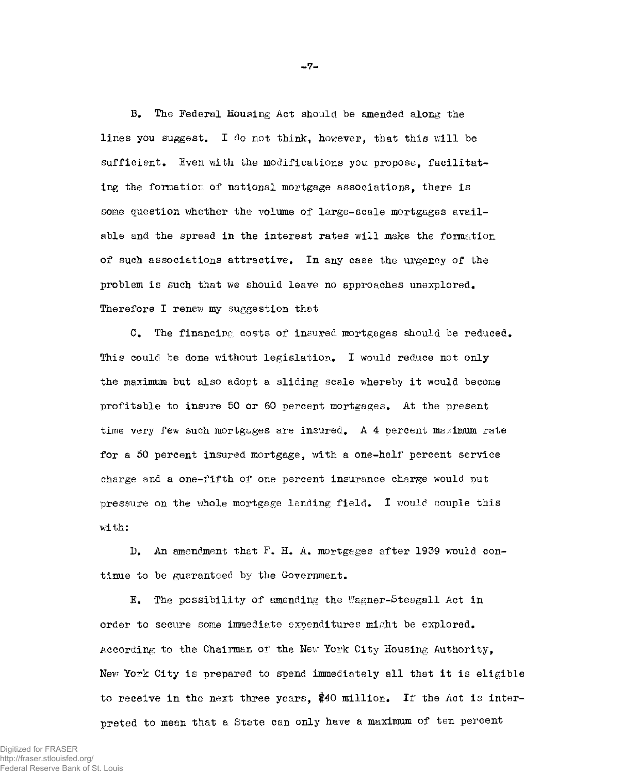**B. The Federal Housing Act should be amended along the lines you suggest. I do not think, however, that this will be sufficient. Even with the modifications you propose, facilitating the formation of national mortgage associations, there is some question whether the volume of large-scale mortgages available and the spread in the interest rates will make the formation of such associations attractive. In any case the urgency of the problem is such that we should leave no approaches unexplored. Therefore I renew my suggestion that** 

C. The financing costs of insured mortgages should be reduced. **This could be done without legislation. I would reduce not only the maximum but also adopt a sliding scale whereby it would become profitable to insure 50 or 60 percent mortgages. At the present time very few such mortgages are insured. A 4 percent maximum rate for a 50 percent insured mortgage, with a one-half percent service charge and a one-fifth of one percent insurance charge would put pressure on the whole mortgage lending field. I would couple this with:** 

**D. An amendment thet F. H. A. mortgages after 1939 would continue to be guaranteed by the Government.** 

**E. The possibility of amending the Wagner-Steagall Act in order to secure some immediate expenditures might be explored. According to the Chairman of the New York City Housing Authority, New York City is prepared to spend immediately all that it is eligible to receive in the next three years, \$40 million. If the Act is interpreted to mean that a State can only have a maximum of ten percent** 

**-7-**